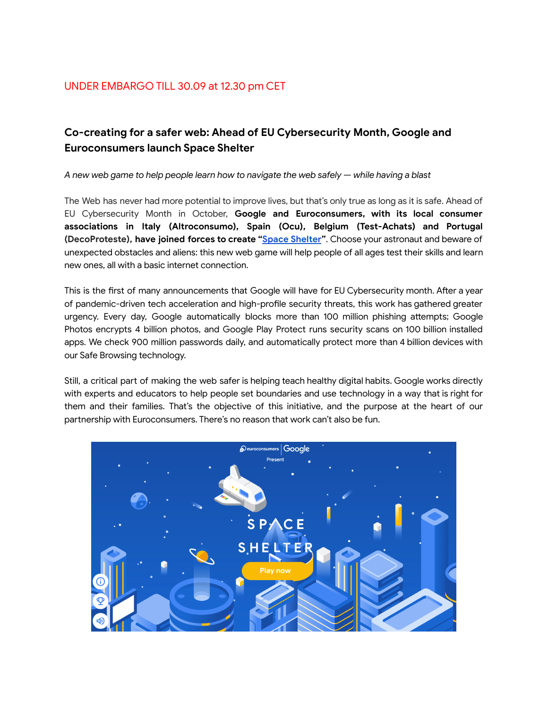## **Co-creating for a safer web: Ahead of EU Cybersecurity Month, Google and Euroconsumers launch Space Shelter**

*A new web game to help people learn how to navigate the web safely — while having a blast*

The Web has never had more potential to improve lives, but that's only true as long as it is safe. Ahead of EU Cybersecurity Month in October, **Google and Euroconsumers, with its local consumer associations in Italy (Altroconsumo), Spain (Ocu), Belgium (Test-Achats) and Portugal (DecoProteste), have joined forces to create "Space [Shelter](https://spacesheltergame.withgoogle.com/)"**. Choose your astronaut and beware of unexpected obstacles and aliens: this new web game will help people of all ages test their skills and learn new ones, all with a basic internet connection.

This is the first of many announcements that Google will have for EU Cybersecurity month. After a year of pandemic-driven tech acceleration and high-profile security threats, this work has gathered greater urgency. Every day, Google automatically blocks more than 100 million phishing attempts; Google Photos encrypts 4 billion photos, and Google Play Protect runs security scans on 100 billion installed apps. We check 900 million passwords daily, and automatically protect more than 4 billion devices with our Safe Browsing technology.

Still, a critical part of making the web safer is helping teach healthy digital habits. Google works directly with experts and educators to help people set boundaries and use technology in a way that is right for them and their families. That's the objective of this initiative, and the purpose at the heart of our partnership with Euroconsumers. There's no reason that work can't also be fun.

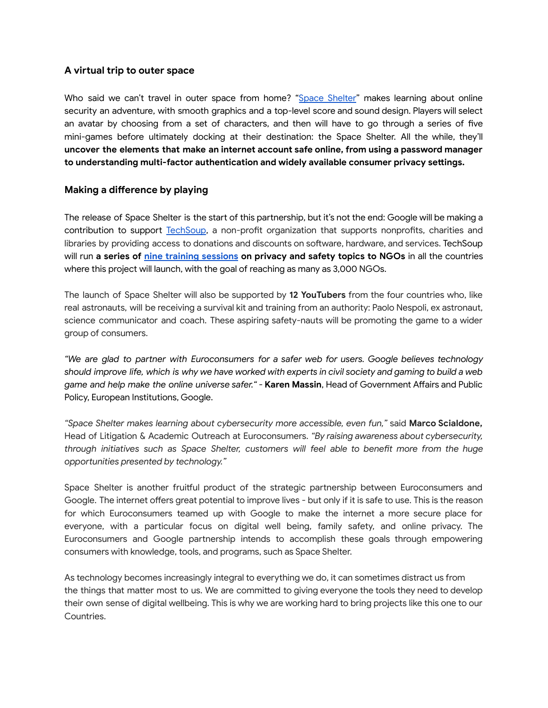## **A virtual trip to outer space**

Who said we can't travel in outer space from home? "Space [Shelter](https://spacesheltergame.withgoogle.com/)" makes learning about online security an adventure, with smooth graphics and a top-level score and sound design. Players will select an avatar by choosing from a set of characters, and then will have to go through a series of five mini-games before ultimately docking at their destination: the Space Shelter. All the while, they'll **uncover the elements that make an internet account safe online, from using a password manager to understanding multi-factor authentication and widely available consumer privacy settings.**

## **Making a difference by playing**

The release of Space Shelter is the start of this partnership, but it's not the end: Google will be making a contribution to support [TechSoup](https://www.techsoup.org/), a non-profit organization that supports nonprofits, charities and libraries by providing access to donations and discounts on software, hardware, and services. TechSoup will run **a series of nine training [sessions](https://page.techsoup.it/en/privacy-security-training-for-non-profits/) on privacy and safety topics to NGOs** in all the countries where this project will launch, with the goal of reaching as many as 3,000 NGOs.

The launch of Space Shelter will also be supported by **12 YouTubers** from the four countries who, like real astronauts, will be receiving a survival kit and training from an authority: Paolo Nespoli, ex astronaut, science communicator and coach. These aspiring safety-nauts will be promoting the game to a wider group of consumers.

*"We are glad to partner with Euroconsumers for a safer web for users. Google believes technology* should improve life, which is why we have worked with experts in civil society and gaming to build a web *game and help make the online universe safer." -* **Karen Massin**, Head of Government Affairs and Public Policy, European Institutions, Google.

*"Space Shelter makes learning about cybersecurity more accessible, even fun,"* said **Marco Scialdone,** Head of Litigation & Academic Outreach at Euroconsumers. *"By raising awareness about cybersecurity, through initiatives such as Space Shelter, customers will feel able to benefit more from the huge opportunities presented by technology."*

Space Shelter is another fruitful product of the strategic partnership between Euroconsumers and Google. The internet offers great potential to improve lives - but only if it is safe to use. This is the reason for which Euroconsumers teamed up with Google to make the internet a more secure place for everyone, with a particular focus on digital well being, family safety, and online privacy. The Euroconsumers and Google partnership intends to accomplish these goals through empowering consumers with knowledge, tools, and programs, such as Space Shelter.

As technology becomes increasingly integral to everything we do, it can sometimes distract us from the things that matter most to us. We are committed to giving everyone the tools they need to develop their own sense of digital wellbeing. This is why we are working hard to bring projects like this one to our Countries.